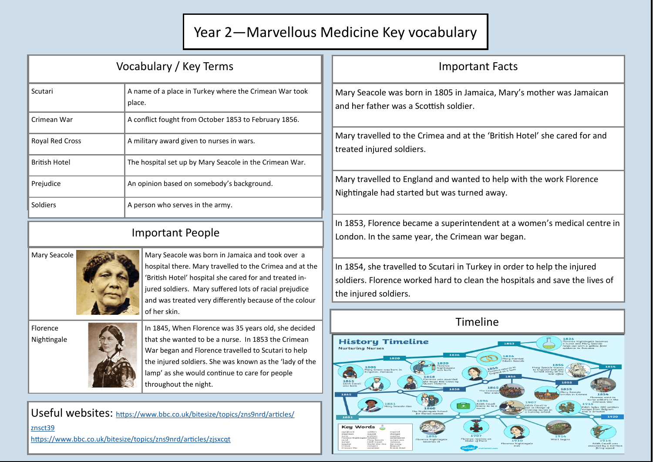## Year 2—Marvellous Medicine Key vocabulary

| Vocabulary / Key Terms                                                                                                                                |                                                                                                                                                                                                                                                                                                           | <b>Important Facts</b>                                                                                                                                                           |
|-------------------------------------------------------------------------------------------------------------------------------------------------------|-----------------------------------------------------------------------------------------------------------------------------------------------------------------------------------------------------------------------------------------------------------------------------------------------------------|----------------------------------------------------------------------------------------------------------------------------------------------------------------------------------|
| Scutari                                                                                                                                               | A name of a place in Turkey where the Crimean War took<br>place.                                                                                                                                                                                                                                          | Mary Seacole was born in 1805 in Jamaica, Mary's mother was Jamaican<br>and her father was a Scottish soldier.                                                                   |
| Crimean War                                                                                                                                           | A conflict fought from October 1853 to February 1856.                                                                                                                                                                                                                                                     |                                                                                                                                                                                  |
| <b>Royal Red Cross</b>                                                                                                                                | A military award given to nurses in wars.                                                                                                                                                                                                                                                                 | Mary travelled to the Crimea and at the 'British Hotel' she cared for and<br>treated injured soldiers.                                                                           |
| <b>British Hotel</b>                                                                                                                                  | The hospital set up by Mary Seacole in the Crimean War.                                                                                                                                                                                                                                                   |                                                                                                                                                                                  |
| Prejudice                                                                                                                                             | An opinion based on somebody's background.                                                                                                                                                                                                                                                                | Mary travelled to England and wanted to help with the work Florence<br>Nightingale had started but was turned away.                                                              |
| Soldiers                                                                                                                                              | A person who serves in the army.                                                                                                                                                                                                                                                                          |                                                                                                                                                                                  |
| <b>Important People</b>                                                                                                                               |                                                                                                                                                                                                                                                                                                           | In 1853, Florence became a superintendent at a women's medical centre in<br>London. In the same year, the Crimean war began.                                                     |
| Mary Seacole                                                                                                                                          | Mary Seacole was born in Jamaica and took over a<br>hospital there. Mary travelled to the Crimea and at the<br>'British Hotel' hospital she cared for and treated in-<br>jured soldiers. Mary suffered lots of racial prejudice<br>and was treated very differently because of the colour<br>of her skin. | In 1854, she travelled to Scutari in Turkey in order to help the injured<br>soldiers. Florence worked hard to clean the hospitals and save the lives of<br>the injured soldiers. |
| Florence<br>Nightingale                                                                                                                               | In 1845, When Florence was 35 years old, she decided<br>that she wanted to be a nurse. In 1853 the Crimean<br>War began and Florence travelled to Scutari to help<br>the injured soldiers. She was known as the 'lady of the<br>lamp' as she would continue to care for people<br>throughout the night.   | Timeline<br><b>History Timeline</b><br><b>Nurturing Nurses</b>                                                                                                                   |
| Useful websites: https://www.bbc.co.uk/bitesize/topics/zns9nrd/articles/<br>znsct39<br>https://www.bbc.co.uk/bitesize/topics/zns9nrd/articles/zjsxcqt |                                                                                                                                                                                                                                                                                                           | Key                                                                                                                                                                              |

Crimean Wa